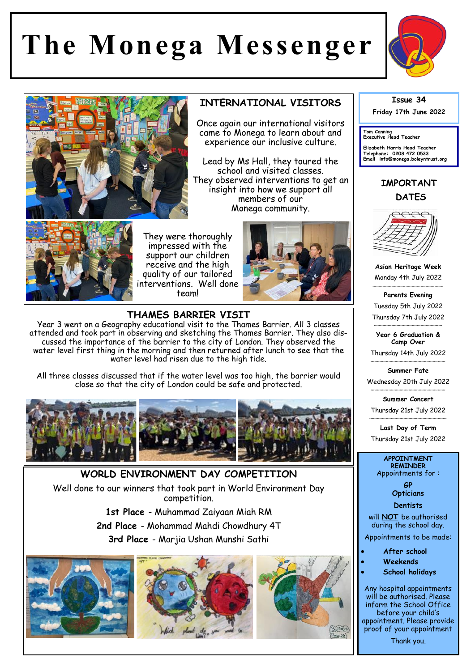## **The Monega Messenger**



## **INTERNATIONAL VISITORS**

Once again our international visitors came to Monega to learn about and experience our inclusive culture.

Lead by Ms Hall, they toured the school and visited classes. They observed interventions to get an insight into how we support all members of our Monega community.



They were thoroughly impressed with the support our children receive and the high quality of our tailored interventions. Well done team!



**THAMES BARRIER VISIT**  Year 3 went on a Geography educational visit to the Thames Barrier. All 3 classes attended and took part in observing and sketching the Thames Barrier. They also discussed the importance of the barrier to the city of London. They observed the water level first thing in the morning and then returned after lunch to see that the water level had risen due to the high tide.

All three classes discussed that if the water level was too high, the barrier would close so that the city of London could be safe and protected.



**WORLD ENVIRONMENT DAY COMPETITION**  Well done to our winners that took part in World Environment Day competition. **1st Place** - Muhammad Zaiyaan Miah RM

**2nd Place** - Mohammad Mahdi Chowdhury 4T **3rd Place** - Marjia Ushan Munshi Sathi









**Friday 17th June 2022** 

**Tom Canning Executive Head Teacher**

**Elizabeth Harris Head Teacher Telephone: 0208 472 0533 Email info@monega.boleyntrust.org** 

## **IMPORTANT DATES**



**Asian Heritage Week** Monday 4th July 2022 \*\*\*\*\*\*\*\*\*\*\*\*\*\*\*\*\*\*\*\*\*\*\*\*\*\*\*\*\*\*\*\*\*\*\*\*\*\*\*\*\*\*\*\*\*\*\*\*\*\*\*\*\*\*\*\*

**Parents Evening** Tuesday 5th July 2022 Thursday 7th July 2022

\*\*\*\*\*\*\*\*\*\*\*\*\*\*\*\*\*\*\*\*\*\*\*\*\*\*\*\*\*\*\*\*\*\*\*\*\*\*\*\*\*\*\*\*\*\*\*\*\*\*\*\*\*\* **Year 6 Graduation & Camp Over**

Thursday 14th July 2022 \*\*\*\*\*\*\*\*\*\*\*\*\*\*\*\*\*\*\*\*\*\*\*\*\*\*\*\*\*\*\*\*\*\*\*\*\*\*\*\*\*\*\*\*\*\*\*\*\*\*\*\*\*\*\*\*\*\*\*

**Summer Fate**  Wednesday 20th July 2022

\*\*\*\*\*\*\*\*\*\*\*\*\*\*\*\*\*\*\*\*\*\*\*\*\*\*\*\*\*\*\*\*\*\*\*\*\*\*\*\*\*\*\*\*\*\*\*\*\*\*\*\*\*\*\*\*\*\*\* **Summer Concert** Thursday 21st July 2022

\*\*\*\*\*\*\*\*\*\*\*\*\*\*\*\*\*\*\*\*\*\*\*\*\*\*\*\*\*\*\*\*\*\*\*\*\*\*\*\*\*\*\*\*\*\*\*\*\*\*\*\*\*\*\*\*\*\*\*\*\* **Last Day of Term** Thursday 21st July 2022

## **APPOINTMENT REMINDER** Appointments for :

**GP Opticians** 

**Dentists** 

will **NOT** be authorised during the school day.

Appointments to be made:

**After school**

- **Weekends**
- **School holidays**

Any hospital appointments will be authorised. Please inform the School Office before your child's appointment. Please provide proof of your appointment

Thank you.